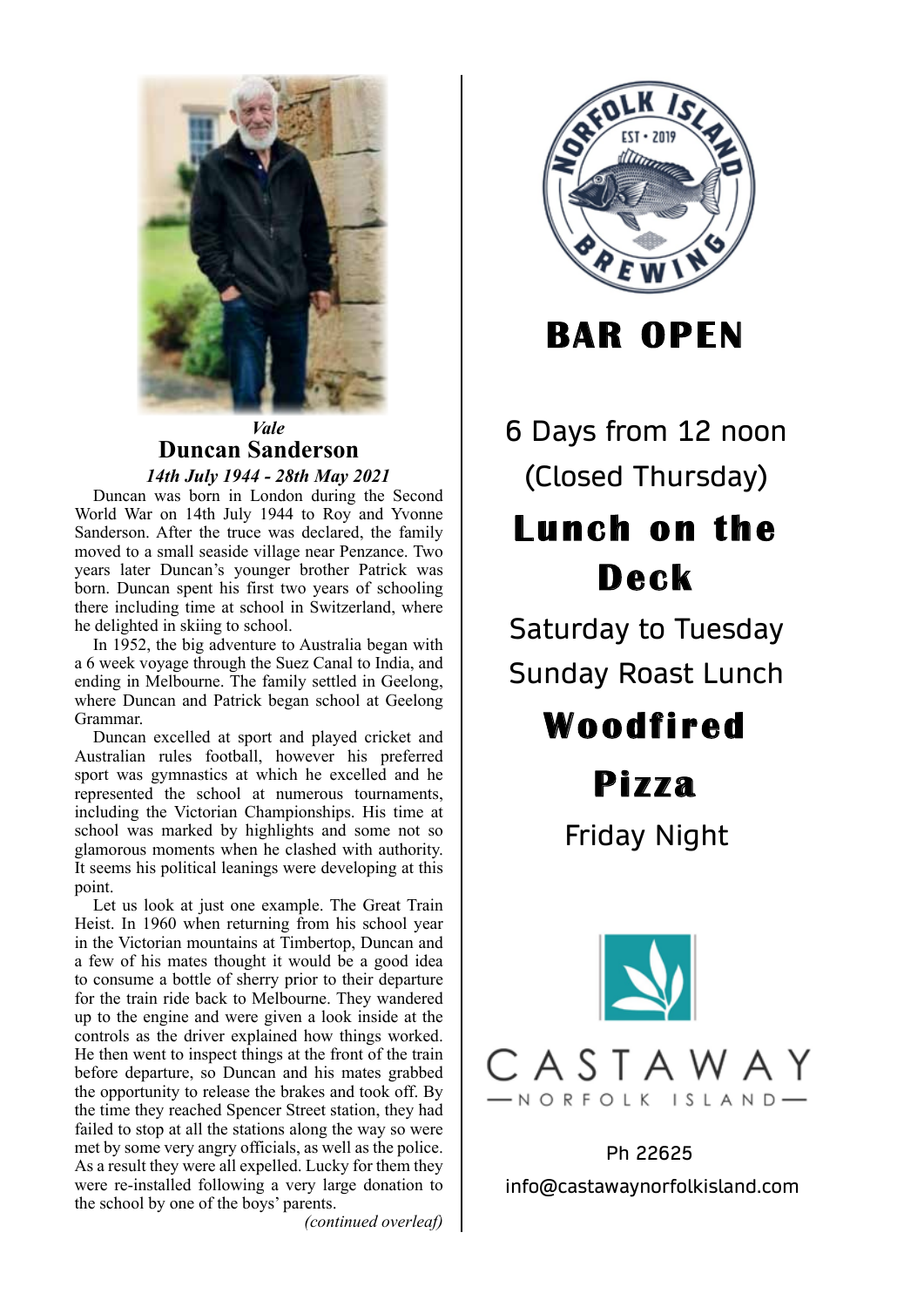

### *Vale* **Duncan Sanderson**  *14th July 1944 - 28th May 2021* 14th July 1944 - 28th May 2021

Duncan was born in London during the Second **World War on 14th July 1944 to Roy and Yvonne** Sanderson. After the truce was declared, the family moved to a small seaside village near Penzance. Two years later Duncan's younger brother Patrick was born. Duncan spent his first two years of schooling there including time at school in Switzerland, where he delighted in skiing to school.

In 1952, the big adventure to Australia began with a 6 week voyage through the Suez Canal to India, and ending in Melbourne. The family settled in Geelong, where Duncan and Patrick began school at Geelong Grammar.

Duncan excelled at sport and played cricket and Australian rules football, however his preferred sport was gymnastics at which he excelled and he represented the school at numerous tournaments, including the Victorian Championships. His time at school was marked by highlights and some not so glamorous moments when he clashed with authority. It seems his political leanings were developing at this point.

Let us look at just one example. The Great Train Heist. In 1960 when returning from his school year in the Victorian mountains at Timbertop, Duncan and a few of his mates thought it would be a good idea to consume a bottle of sherry prior to their departure for the train ride back to Melbourne. They wandered up to the engine and were given a look inside at the controls as the driver explained how things worked. He then went to inspect things at the front of the train before departure, so Duncan and his mates grabbed the opportunity to release the brakes and took off. By the time they reached Spencer Street station, they had failed to stop at all the stations along the way so were met by some very angry officials, as well as the police. As a result they were all expelled. Lucky for them they were re-installed following a very large donation to the school by one of the boys' parents.

*(continued overleaf)*



**BAR OPEN**

6 Days from 12 noon (Closed Thursday)

# **Lunch on the Deck**

Saturday to Tuesday Sunday Roast Lunch

# **Woodfi red**

**Pi z za**

Friday Night



Ph 22625 info@castawaynorfolkisland.com